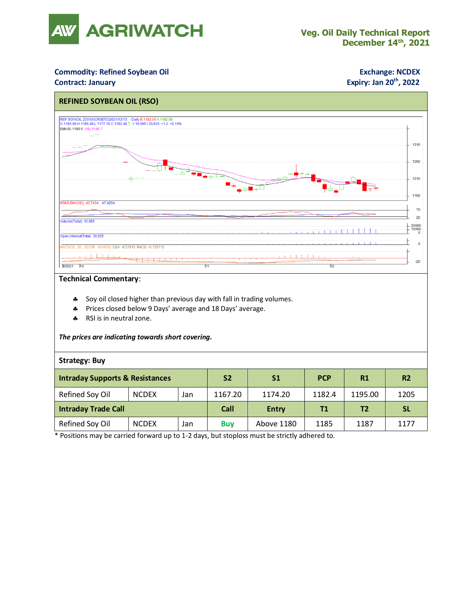

### **Commodity: Refined Soybean Oil <b>Exchange: NCDEX**

### **Contract: January**

## **Expiry: Jan 20<sup>th</sup>, 2022**



#### **Technical Commentary**:

- \* Soy oil closed higher than previous day with fall in trading volumes.
- Prices closed below 9 Days' average and 18 Days' average.
- \* RSI is in neutral zone.

#### *The prices are indicating towards short covering.*

#### **Strategy: Buy**

| <b>Intraday Supports &amp; Resistances</b> |              |     | S <sub>2</sub> | <b>S1</b>    | <b>PCP</b> | R1             | R <sub>2</sub> |
|--------------------------------------------|--------------|-----|----------------|--------------|------------|----------------|----------------|
| Refined Soy Oil                            | <b>NCDEX</b> | Jan | 1167.20        | 1174.20      | 1182.4     | 1195.00        | 1205           |
| <b>Intraday Trade Call</b>                 |              |     | Call           | <b>Entry</b> | Τ1         | T <sub>2</sub> | <b>SL</b>      |
| Refined Soy Oil                            | <b>NCDEX</b> | Jan | <b>Buy</b>     | Above 1180   | 1185       | 1187           | 1177           |

\* Positions may be carried forward up to 1-2 days, but stoploss must be strictly adhered to.